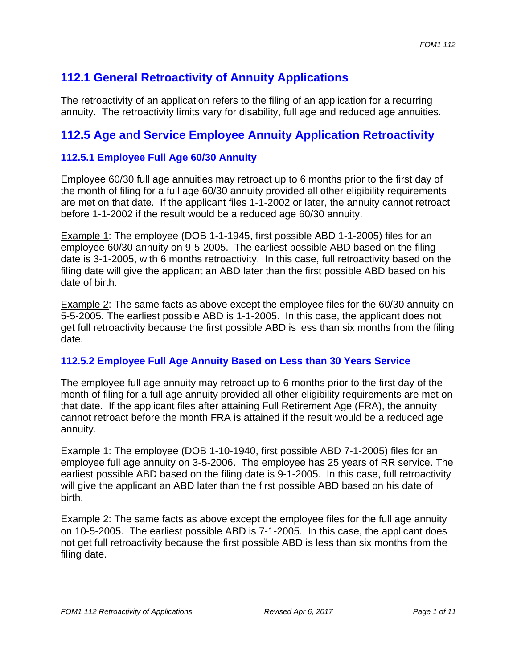# **112.1 General Retroactivity of Annuity Applications**

The retroactivity of an application refers to the filing of an application for a recurring annuity. The retroactivity limits vary for disability, full age and reduced age annuities.

# **112.5 Age and Service Employee Annuity Application Retroactivity**

# **112.5.1 Employee Full Age 60/30 Annuity**

Employee 60/30 full age annuities may retroact up to 6 months prior to the first day of the month of filing for a full age 60/30 annuity provided all other eligibility requirements are met on that date. If the applicant files 1-1-2002 or later, the annuity cannot retroact before 1-1-2002 if the result would be a reduced age 60/30 annuity.

Example 1: The employee (DOB 1-1-1945, first possible ABD 1-1-2005) files for an employee 60/30 annuity on 9-5-2005. The earliest possible ABD based on the filing date is 3-1-2005, with 6 months retroactivity. In this case, full retroactivity based on the filing date will give the applicant an ABD later than the first possible ABD based on his date of birth.

Example 2: The same facts as above except the employee files for the 60/30 annuity on 5-5-2005. The earliest possible ABD is 1-1-2005. In this case, the applicant does not get full retroactivity because the first possible ABD is less than six months from the filing date.

# **112.5.2 Employee Full Age Annuity Based on Less than 30 Years Service**

The employee full age annuity may retroact up to 6 months prior to the first day of the month of filing for a full age annuity provided all other eligibility requirements are met on that date. If the applicant files after attaining Full Retirement Age (FRA), the annuity cannot retroact before the month FRA is attained if the result would be a reduced age annuity.

Example 1: The employee (DOB 1-10-1940, first possible ABD 7-1-2005) files for an employee full age annuity on 3-5-2006. The employee has 25 years of RR service. The earliest possible ABD based on the filing date is 9-1-2005. In this case, full retroactivity will give the applicant an ABD later than the first possible ABD based on his date of birth.

Example 2: The same facts as above except the employee files for the full age annuity on 10-5-2005. The earliest possible ABD is 7-1-2005. In this case, the applicant does not get full retroactivity because the first possible ABD is less than six months from the filing date.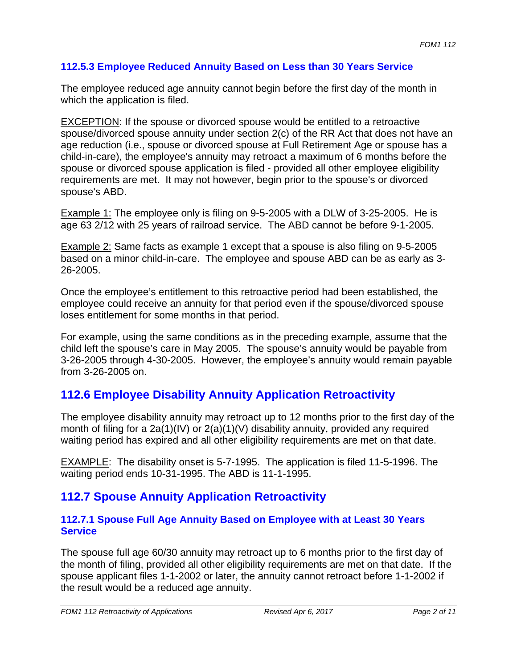# **112.5.3 Employee Reduced Annuity Based on Less than 30 Years Service**

The employee reduced age annuity cannot begin before the first day of the month in which the application is filed.

EXCEPTION: If the spouse or divorced spouse would be entitled to a retroactive spouse/divorced spouse annuity under section 2(c) of the RR Act that does not have an age reduction (i.e., spouse or divorced spouse at Full Retirement Age or spouse has a child-in-care), the employee's annuity may retroact a maximum of 6 months before the spouse or divorced spouse application is filed - provided all other employee eligibility requirements are met. It may not however, begin prior to the spouse's or divorced spouse's ABD.

Example 1: The employee only is filing on 9-5-2005 with a DLW of 3-25-2005. He is age 63 2/12 with 25 years of railroad service. The ABD cannot be before 9-1-2005.

Example 2: Same facts as example 1 except that a spouse is also filing on 9-5-2005 based on a minor child-in-care. The employee and spouse ABD can be as early as 3- 26-2005.

Once the employee's entitlement to this retroactive period had been established, the employee could receive an annuity for that period even if the spouse/divorced spouse loses entitlement for some months in that period.

For example, using the same conditions as in the preceding example, assume that the child left the spouse's care in May 2005. The spouse's annuity would be payable from 3-26-2005 through 4-30-2005. However, the employee's annuity would remain payable from 3-26-2005 on.

# **112.6 Employee Disability Annuity Application Retroactivity**

The employee disability annuity may retroact up to 12 months prior to the first day of the month of filing for a 2a(1)(IV) or 2(a)(1)(V) disability annuity, provided any required waiting period has expired and all other eligibility requirements are met on that date.

EXAMPLE: The disability onset is 5-7-1995. The application is filed 11-5-1996. The waiting period ends 10-31-1995. The ABD is 11-1-1995.

# **112.7 Spouse Annuity Application Retroactivity**

# **112.7.1 Spouse Full Age Annuity Based on Employee with at Least 30 Years Service**

The spouse full age 60/30 annuity may retroact up to 6 months prior to the first day of the month of filing, provided all other eligibility requirements are met on that date. If the spouse applicant files 1-1-2002 or later, the annuity cannot retroact before 1-1-2002 if the result would be a reduced age annuity.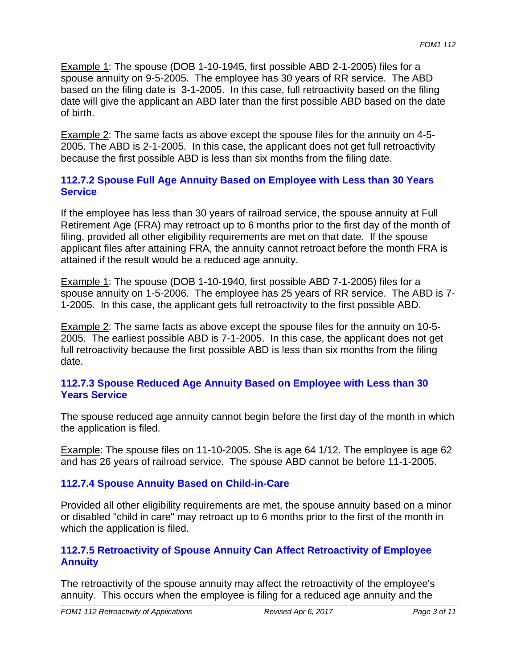Example 1: The spouse (DOB 1-10-1945, first possible ABD 2-1-2005) files for a spouse annuity on 9-5-2005. The employee has 30 years of RR service. The ABD based on the filing date is 3-1-2005. In this case, full retroactivity based on the filing date will give the applicant an ABD later than the first possible ABD based on the date of birth.

Example 2: The same facts as above except the spouse files for the annuity on 4-5- 2005. The ABD is 2-1-2005. In this case, the applicant does not get full retroactivity because the first possible ABD is less than six months from the filing date.

# **112.7.2 Spouse Full Age Annuity Based on Employee with Less than 30 Years Service**

If the employee has less than 30 years of railroad service, the spouse annuity at Full Retirement Age (FRA) may retroact up to 6 months prior to the first day of the month of filing, provided all other eligibility requirements are met on that date. If the spouse applicant files after attaining FRA, the annuity cannot retroact before the month FRA is attained if the result would be a reduced age annuity.

Example 1: The spouse (DOB 1-10-1940, first possible ABD 7-1-2005) files for a spouse annuity on 1-5-2006. The employee has 25 years of RR service. The ABD is 7- 1-2005. In this case, the applicant gets full retroactivity to the first possible ABD.

Example 2: The same facts as above except the spouse files for the annuity on 10-5- 2005. The earliest possible ABD is 7-1-2005. In this case, the applicant does not get full retroactivity because the first possible ABD is less than six months from the filing date.

# **112.7.3 Spouse Reduced Age Annuity Based on Employee with Less than 30 Years Service**

The spouse reduced age annuity cannot begin before the first day of the month in which the application is filed.

Example: The spouse files on 11-10-2005. She is age 64 1/12. The employee is age 62 and has 26 years of railroad service. The spouse ABD cannot be before 11-1-2005.

# **112.7.4 Spouse Annuity Based on Child-in-Care**

Provided all other eligibility requirements are met, the spouse annuity based on a minor or disabled "child in care" may retroact up to 6 months prior to the first of the month in which the application is filed.

# **112.7.5 Retroactivity of Spouse Annuity Can Affect Retroactivity of Employee Annuity**

The retroactivity of the spouse annuity may affect the retroactivity of the employee's annuity. This occurs when the employee is filing for a reduced age annuity and the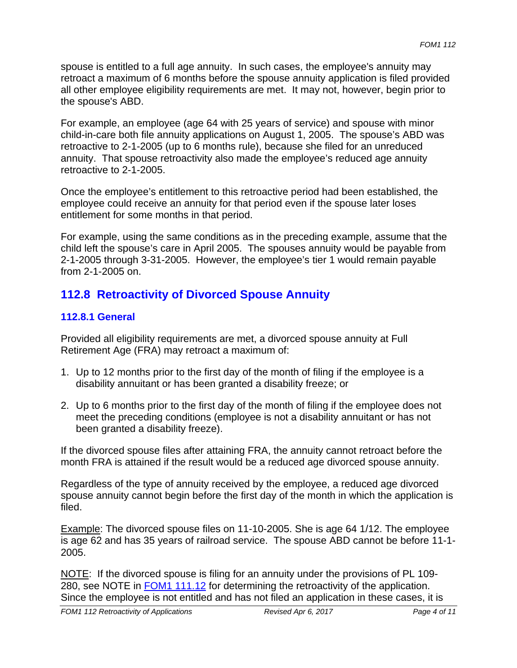spouse is entitled to a full age annuity. In such cases, the employee's annuity may retroact a maximum of 6 months before the spouse annuity application is filed provided all other employee eligibility requirements are met. It may not, however, begin prior to the spouse's ABD.

For example, an employee (age 64 with 25 years of service) and spouse with minor child-in-care both file annuity applications on August 1, 2005. The spouse's ABD was retroactive to 2-1-2005 (up to 6 months rule), because she filed for an unreduced annuity. That spouse retroactivity also made the employee's reduced age annuity retroactive to 2-1-2005.

Once the employee's entitlement to this retroactive period had been established, the employee could receive an annuity for that period even if the spouse later loses entitlement for some months in that period.

For example, using the same conditions as in the preceding example, assume that the child left the spouse's care in April 2005. The spouses annuity would be payable from 2-1-2005 through 3-31-2005. However, the employee's tier 1 would remain payable from 2-1-2005 on.

# **112.8 Retroactivity of Divorced Spouse Annuity**

# **112.8.1 General**

Provided all eligibility requirements are met, a divorced spouse annuity at Full Retirement Age (FRA) may retroact a maximum of:

- 1. Up to 12 months prior to the first day of the month of filing if the employee is a disability annuitant or has been granted a disability freeze; or
- 2. Up to 6 months prior to the first day of the month of filing if the employee does not meet the preceding conditions (employee is not a disability annuitant or has not been granted a disability freeze).

If the divorced spouse files after attaining FRA, the annuity cannot retroact before the month FRA is attained if the result would be a reduced age divorced spouse annuity.

Regardless of the type of annuity received by the employee, a reduced age divorced spouse annuity cannot begin before the first day of the month in which the application is filed.

Example: The divorced spouse files on 11-10-2005. She is age 64 1/12. The employee is age 62 and has 35 years of railroad service. The spouse ABD cannot be before 11-1- 2005.

NOTE: If the divorced spouse is filing for an annuity under the provisions of PL 109-280, see NOTE in FOM1 111.12 for determining the retroactivity of the application. Since the employee is not entitled and has not filed an application in these cases, it is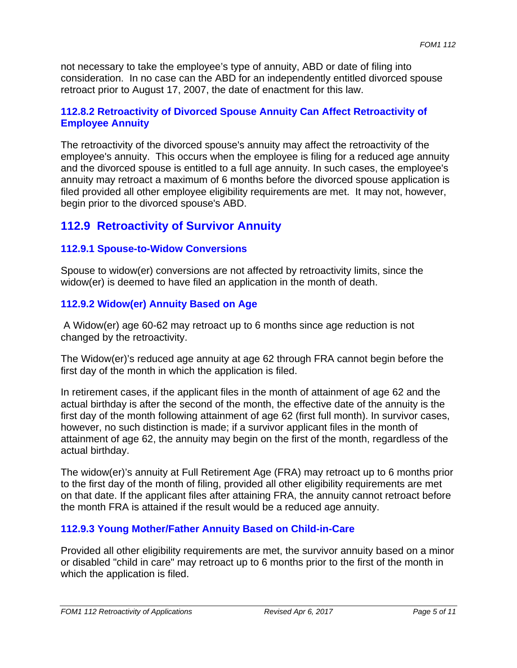not necessary to take the employee's type of annuity, ABD or date of filing into consideration. In no case can the ABD for an independently entitled divorced spouse retroact prior to August 17, 2007, the date of enactment for this law.

# **112.8.2 Retroactivity of Divorced Spouse Annuity Can Affect Retroactivity of Employee Annuity**

The retroactivity of the divorced spouse's annuity may affect the retroactivity of the employee's annuity. This occurs when the employee is filing for a reduced age annuity and the divorced spouse is entitled to a full age annuity. In such cases, the employee's annuity may retroact a maximum of 6 months before the divorced spouse application is filed provided all other employee eligibility requirements are met. It may not, however, begin prior to the divorced spouse's ABD.

# **112.9 Retroactivity of Survivor Annuity**

# **112.9.1 Spouse-to-Widow Conversions**

Spouse to widow(er) conversions are not affected by retroactivity limits, since the widow(er) is deemed to have filed an application in the month of death.

# **112.9.2 Widow(er) Annuity Based on Age**

 A Widow(er) age 60-62 may retroact up to 6 months since age reduction is not changed by the retroactivity.

The Widow(er)'s reduced age annuity at age 62 through FRA cannot begin before the first day of the month in which the application is filed.

In retirement cases, if the applicant files in the month of attainment of age 62 and the actual birthday is after the second of the month, the effective date of the annuity is the first day of the month following attainment of age 62 (first full month). In survivor cases, however, no such distinction is made; if a survivor applicant files in the month of attainment of age 62, the annuity may begin on the first of the month, regardless of the actual birthday.

The widow(er)'s annuity at Full Retirement Age (FRA) may retroact up to 6 months prior to the first day of the month of filing, provided all other eligibility requirements are met on that date. If the applicant files after attaining FRA, the annuity cannot retroact before the month FRA is attained if the result would be a reduced age annuity.

# **112.9.3 Young Mother/Father Annuity Based on Child-in-Care**

Provided all other eligibility requirements are met, the survivor annuity based on a minor or disabled "child in care" may retroact up to 6 months prior to the first of the month in which the application is filed.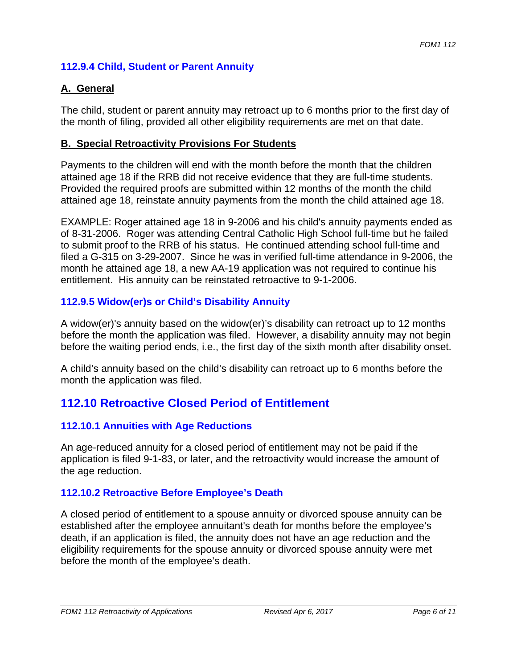# **112.9.4 Child, Student or Parent Annuity**

# **A. General**

The child, student or parent annuity may retroact up to 6 months prior to the first day of the month of filing, provided all other eligibility requirements are met on that date.

# **B. Special Retroactivity Provisions For Students**

Payments to the children will end with the month before the month that the children attained age 18 if the RRB did not receive evidence that they are full-time students. Provided the required proofs are submitted within 12 months of the month the child attained age 18, reinstate annuity payments from the month the child attained age 18.

EXAMPLE: Roger attained age 18 in 9-2006 and his child's annuity payments ended as of 8-31-2006. Roger was attending Central Catholic High School full-time but he failed to submit proof to the RRB of his status. He continued attending school full-time and filed a G-315 on 3-29-2007. Since he was in verified full-time attendance in 9-2006, the month he attained age 18, a new AA-19 application was not required to continue his entitlement. His annuity can be reinstated retroactive to 9-1-2006.

# **112.9.5 Widow(er)s or Child's Disability Annuity**

A widow(er)'s annuity based on the widow(er)'s disability can retroact up to 12 months before the month the application was filed. However, a disability annuity may not begin before the waiting period ends, i.e., the first day of the sixth month after disability onset.

A child's annuity based on the child's disability can retroact up to 6 months before the month the application was filed.

# **112.10 Retroactive Closed Period of Entitlement**

# **112.10.1 Annuities with Age Reductions**

An age-reduced annuity for a closed period of entitlement may not be paid if the application is filed 9-1-83, or later, and the retroactivity would increase the amount of the age reduction.

# **112.10.2 Retroactive Before Employee's Death**

A closed period of entitlement to a spouse annuity or divorced spouse annuity can be established after the employee annuitant's death for months before the employee's death, if an application is filed, the annuity does not have an age reduction and the eligibility requirements for the spouse annuity or divorced spouse annuity were met before the month of the employee's death.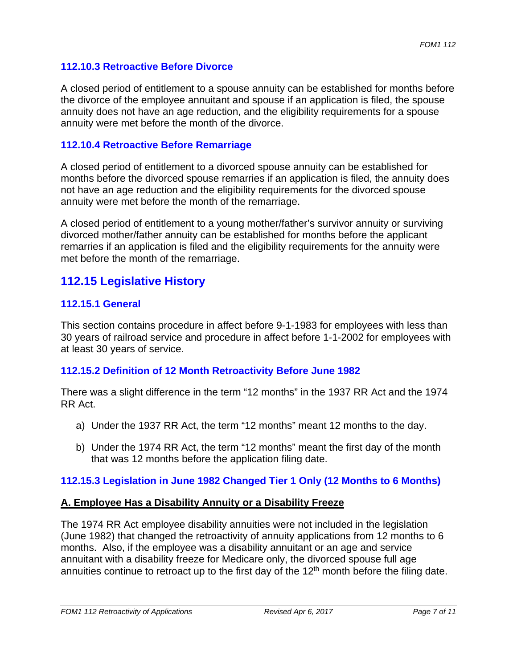# **112.10.3 Retroactive Before Divorce**

A closed period of entitlement to a spouse annuity can be established for months before the divorce of the employee annuitant and spouse if an application is filed, the spouse annuity does not have an age reduction, and the eligibility requirements for a spouse annuity were met before the month of the divorce.

# **112.10.4 Retroactive Before Remarriage**

A closed period of entitlement to a divorced spouse annuity can be established for months before the divorced spouse remarries if an application is filed, the annuity does not have an age reduction and the eligibility requirements for the divorced spouse annuity were met before the month of the remarriage.

A closed period of entitlement to a young mother/father's survivor annuity or surviving divorced mother/father annuity can be established for months before the applicant remarries if an application is filed and the eligibility requirements for the annuity were met before the month of the remarriage.

# **112.15 Legislative History 112.15.1 General**

This section contains procedure in affect before 9-1-1983 for employees with less than 30 years of railroad service and procedure in affect before 1-1-2002 for employees with at least 30 years of service.

# **112.15.2 Definition of 12 Month Retroactivity Before June 1982**

There was a slight difference in the term "12 months" in the 1937 RR Act and the 1974 RR Act.

- a) Under the 1937 RR Act, the term "12 months" meant 12 months to the day.
- b) Under the 1974 RR Act, the term "12 months" meant the first day of the month that was 12 months before the application filing date.

# **112.15.3 Legislation in June 1982 Changed Tier 1 Only (12 Months to 6 Months)**

#### **A. Employee Has a Disability Annuity or a Disability Freeze**

The 1974 RR Act employee disability annuities were not included in the legislation (June 1982) that changed the retroactivity of annuity applications from 12 months to 6 months. Also, if the employee was a disability annuitant or an age and service annuitant with a disability freeze for Medicare only, the divorced spouse full age annuities continue to retroact up to the first day of the  $12<sup>th</sup>$  month before the filing date.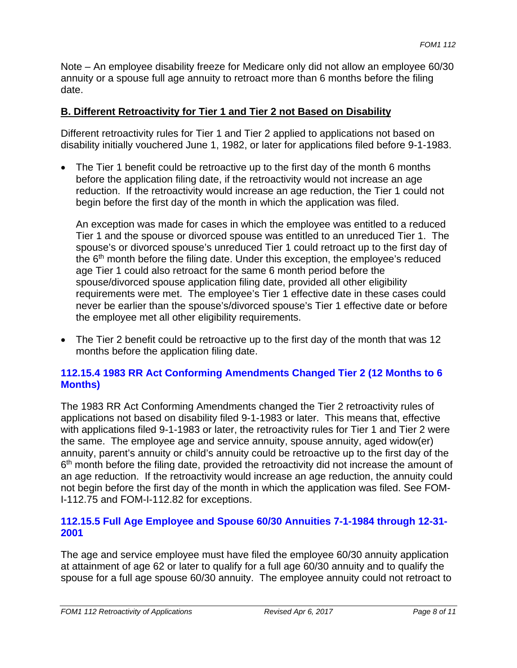Note – An employee disability freeze for Medicare only did not allow an employee 60/30 annuity or a spouse full age annuity to retroact more than 6 months before the filing date.

# **B. Different Retroactivity for Tier 1 and Tier 2 not Based on Disability**

Different retroactivity rules for Tier 1 and Tier 2 applied to applications not based on disability initially vouchered June 1, 1982, or later for applications filed before 9-1-1983.

• The Tier 1 benefit could be retroactive up to the first day of the month 6 months before the application filing date, if the retroactivity would not increase an age reduction. If the retroactivity would increase an age reduction, the Tier 1 could not begin before the first day of the month in which the application was filed.

An exception was made for cases in which the employee was entitled to a reduced Tier 1 and the spouse or divorced spouse was entitled to an unreduced Tier 1. The spouse's or divorced spouse's unreduced Tier 1 could retroact up to the first day of the 6<sup>th</sup> month before the filing date. Under this exception, the employee's reduced age Tier 1 could also retroact for the same 6 month period before the spouse/divorced spouse application filing date, provided all other eligibility requirements were met. The employee's Tier 1 effective date in these cases could never be earlier than the spouse's/divorced spouse's Tier 1 effective date or before the employee met all other eligibility requirements.

• The Tier 2 benefit could be retroactive up to the first day of the month that was 12 months before the application filing date.

# **112.15.4 1983 RR Act Conforming Amendments Changed Tier 2 (12 Months to 6 Months)**

The 1983 RR Act Conforming Amendments changed the Tier 2 retroactivity rules of applications not based on disability filed 9-1-1983 or later. This means that, effective with applications filed 9-1-1983 or later, the retroactivity rules for Tier 1 and Tier 2 were the same. The employee age and service annuity, spouse annuity, aged widow(er) annuity, parent's annuity or child's annuity could be retroactive up to the first day of the 6<sup>th</sup> month before the filing date, provided the retroactivity did not increase the amount of an age reduction. If the retroactivity would increase an age reduction, the annuity could not begin before the first day of the month in which the application was filed. See FOM-I-112.75 and FOM-I-112.82 for exceptions.

# **112.15.5 Full Age Employee and Spouse 60/30 Annuities 7-1-1984 through 12-31- 2001**

The age and service employee must have filed the employee 60/30 annuity application at attainment of age 62 or later to qualify for a full age 60/30 annuity and to qualify the spouse for a full age spouse 60/30 annuity. The employee annuity could not retroact to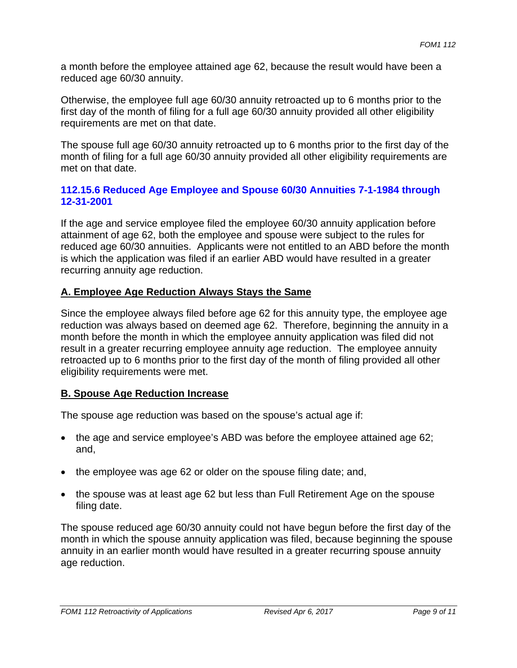a month before the employee attained age 62, because the result would have been a reduced age 60/30 annuity.

Otherwise, the employee full age 60/30 annuity retroacted up to 6 months prior to the first day of the month of filing for a full age 60/30 annuity provided all other eligibility requirements are met on that date.

The spouse full age 60/30 annuity retroacted up to 6 months prior to the first day of the month of filing for a full age 60/30 annuity provided all other eligibility requirements are met on that date.

# **112.15.6 Reduced Age Employee and Spouse 60/30 Annuities 7-1-1984 through 12-31-2001**

If the age and service employee filed the employee 60/30 annuity application before attainment of age 62, both the employee and spouse were subject to the rules for reduced age 60/30 annuities. Applicants were not entitled to an ABD before the month is which the application was filed if an earlier ABD would have resulted in a greater recurring annuity age reduction.

# **A. Employee Age Reduction Always Stays the Same**

Since the employee always filed before age 62 for this annuity type, the employee age reduction was always based on deemed age 62. Therefore, beginning the annuity in a month before the month in which the employee annuity application was filed did not result in a greater recurring employee annuity age reduction. The employee annuity retroacted up to 6 months prior to the first day of the month of filing provided all other eligibility requirements were met.

#### **B. Spouse Age Reduction Increase**

The spouse age reduction was based on the spouse's actual age if:

- the age and service employee's ABD was before the employee attained age 62; and,
- the employee was age 62 or older on the spouse filing date; and,
- the spouse was at least age 62 but less than Full Retirement Age on the spouse filing date.

The spouse reduced age 60/30 annuity could not have begun before the first day of the month in which the spouse annuity application was filed, because beginning the spouse annuity in an earlier month would have resulted in a greater recurring spouse annuity age reduction.